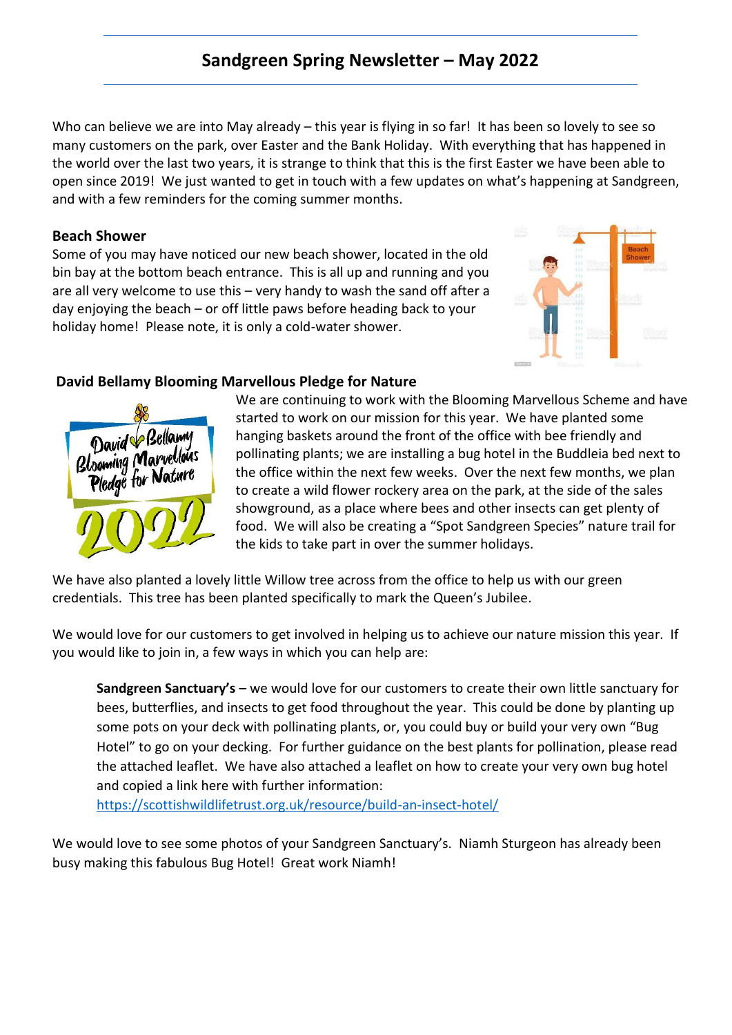# **Sandgreen Spring Newsletter – May 2022**

Who can believe we are into May already – this year is flying in so far! It has been so lovely to see so many customers on the park, over Easter and the Bank Holiday. With everything that has happened in the world over the last two years, it is strange to think that this is the first Easter we have been able to open since 2019! We just wanted to get in touch with a few updates on what's happening at Sandgreen, and with a few reminders for the coming summer months.

## **Beach Shower**

Some of you may have noticed our new beach shower, located in the old bin bay at the bottom beach entrance. This is all up and running and you are all very welcome to use this – very handy to wash the sand off after a day enjoying the beach – or off little paws before heading back to your holiday home! Please note, it is only a cold-water shower.



# **David Bellamy Blooming Marvellous Pledge for Nature**



We are continuing to work with the Blooming Marvellous Scheme and have started to work on our mission for this year. We have planted some hanging baskets around the front of the office with bee friendly and pollinating plants; we are installing a bug hotel in the Buddleia bed next to the office within the next few weeks. Over the next few months, we plan to create a wild flower rockery area on the park, at the side of the sales showground, as a place where bees and other insects can get plenty of food. We will also be creating a "Spot Sandgreen Species" nature trail for the kids to take part in over the summer holidays.

We have also planted a lovely little Willow tree across from the office to help us with our green credentials. This tree has been planted specifically to mark the Queen's Jubilee.

We would love for our customers to get involved in helping us to achieve our nature mission this year. If you would like to join in, a few ways in which you can help are:

**Sandgreen Sanctuary's –** we would love for our customers to create their own little sanctuary for bees, butterflies, and insects to get food throughout the year. This could be done by planting up some pots on your deck with pollinating plants, or, you could buy or build your very own "Bug Hotel" to go on your decking. For further guidance on the best plants for pollination, please read the attached leaflet. We have also attached a leaflet on how to create your very own bug hotel and copied a link here with further information:

<https://scottishwildlifetrust.org.uk/resource/build-an-insect-hotel/>

We would love to see some photos of your Sandgreen Sanctuary's. Niamh Sturgeon has already been busy making this fabulous Bug Hotel! Great work Niamh!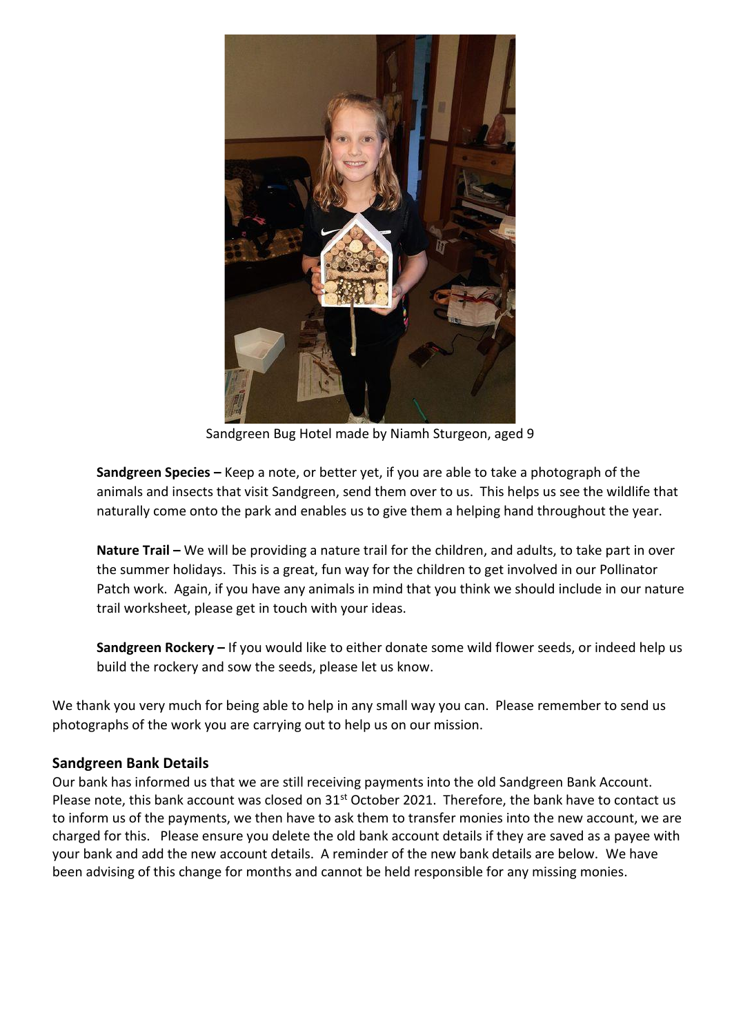

Sandgreen Bug Hotel made by Niamh Sturgeon, aged 9

**Sandgreen Species –** Keep a note, or better yet, if you are able to take a photograph of the animals and insects that visit Sandgreen, send them over to us. This helps us see the wildlife that naturally come onto the park and enables us to give them a helping hand throughout the year.

**Nature Trail –** We will be providing a nature trail for the children, and adults, to take part in over the summer holidays. This is a great, fun way for the children to get involved in our Pollinator Patch work. Again, if you have any animals in mind that you think we should include in our nature trail worksheet, please get in touch with your ideas.

**Sandgreen Rockery –** If you would like to either donate some wild flower seeds, or indeed help us build the rockery and sow the seeds, please let us know.

We thank you very much for being able to help in any small way you can. Please remember to send us photographs of the work you are carrying out to help us on our mission.

## **Sandgreen Bank Details**

Our bank has informed us that we are still receiving payments into the old Sandgreen Bank Account. Please note, this bank account was closed on 31<sup>st</sup> October 2021. Therefore, the bank have to contact us to inform us of the payments, we then have to ask them to transfer monies into the new account, we are charged for this. Please ensure you delete the old bank account details if they are saved as a payee with your bank and add the new account details. A reminder of the new bank details are below. We have been advising of this change for months and cannot be held responsible for any missing monies.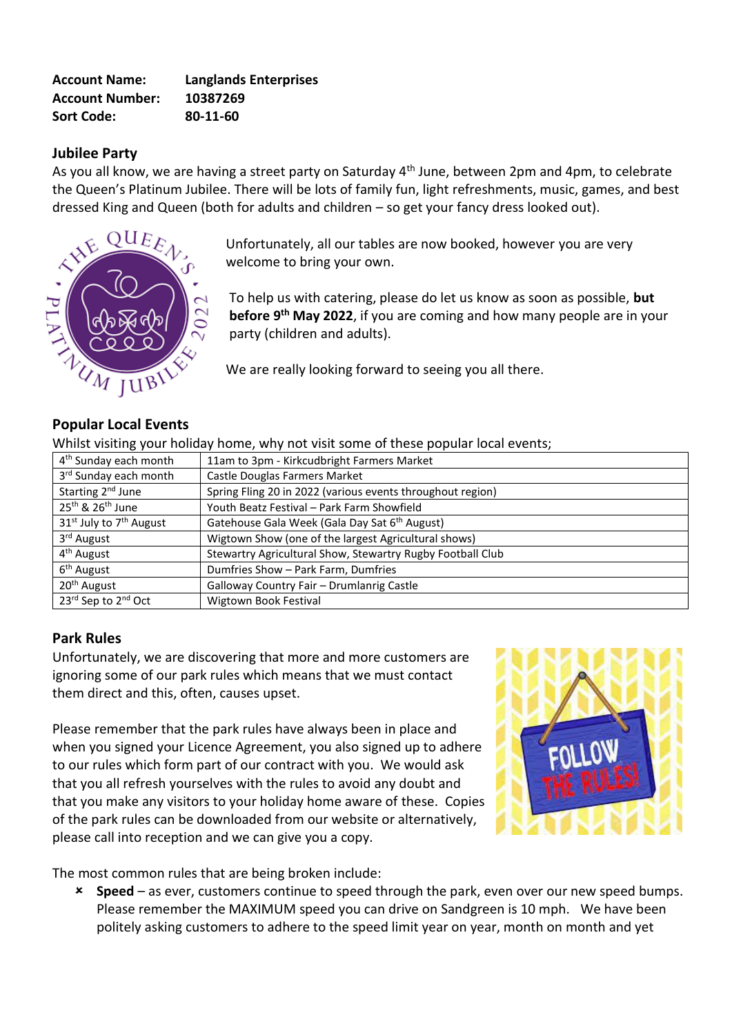| <b>Account Name:</b>   | <b>Langlands Enterprises</b> |
|------------------------|------------------------------|
| <b>Account Number:</b> | 10387269                     |
| <b>Sort Code:</b>      | 80-11-60                     |

## **Jubilee Party**

As you all know, we are having a street party on Saturday 4<sup>th</sup> June, between 2pm and 4pm, to celebrate the Queen's Platinum Jubilee. There will be lots of family fun, light refreshments, music, games, and best dressed King and Queen (both for adults and children – so get your fancy dress looked out).



Unfortunately, all our tables are now booked, however you are very welcome to bring your own.

To help us with catering, please do let us know as soon as possible, **but before 9 th May 2022**, if you are coming and how many people are in your party (children and adults).

We are really looking forward to seeing you all there.

## **Popular Local Events**

Whilst visiting your holiday home, why not visit some of these popular local events;

| 4 <sup>th</sup> Sunday each month               | 11am to 3pm - Kirkcudbright Farmers Market                 |
|-------------------------------------------------|------------------------------------------------------------|
| 3rd Sunday each month                           | Castle Douglas Farmers Market                              |
| Starting 2 <sup>nd</sup> June                   | Spring Fling 20 in 2022 (various events throughout region) |
| 25 <sup>th</sup> & 26 <sup>th</sup> June        | Youth Beatz Festival - Park Farm Showfield                 |
| 31 <sup>st</sup> July to 7 <sup>th</sup> August | Gatehouse Gala Week (Gala Day Sat 6 <sup>th</sup> August)  |
| 3 <sup>rd</sup> August                          | Wigtown Show (one of the largest Agricultural shows)       |
| 4 <sup>th</sup> August                          | Stewartry Agricultural Show, Stewartry Rugby Football Club |
| 6 <sup>th</sup> August                          | Dumfries Show - Park Farm, Dumfries                        |
| 20 <sup>th</sup> August                         | Galloway Country Fair - Drumlanrig Castle                  |
| 23rd Sep to 2nd Oct                             | Wigtown Book Festival                                      |

### **Park Rules**

Unfortunately, we are discovering that more and more customers are ignoring some of our park rules which means that we must contact them direct and this, often, causes upset.

Please remember that the park rules have always been in place and when you signed your Licence Agreement, you also signed up to adhere to our rules which form part of our contract with you. We would ask that you all refresh yourselves with the rules to avoid any doubt and that you make any visitors to your holiday home aware of these. Copies of the park rules can be downloaded from our website or alternatively, please call into reception and we can give you a copy.



The most common rules that are being broken include:

 **Speed** – as ever, customers continue to speed through the park, even over our new speed bumps. Please remember the MAXIMUM speed you can drive on Sandgreen is 10 mph. We have been politely asking customers to adhere to the speed limit year on year, month on month and yet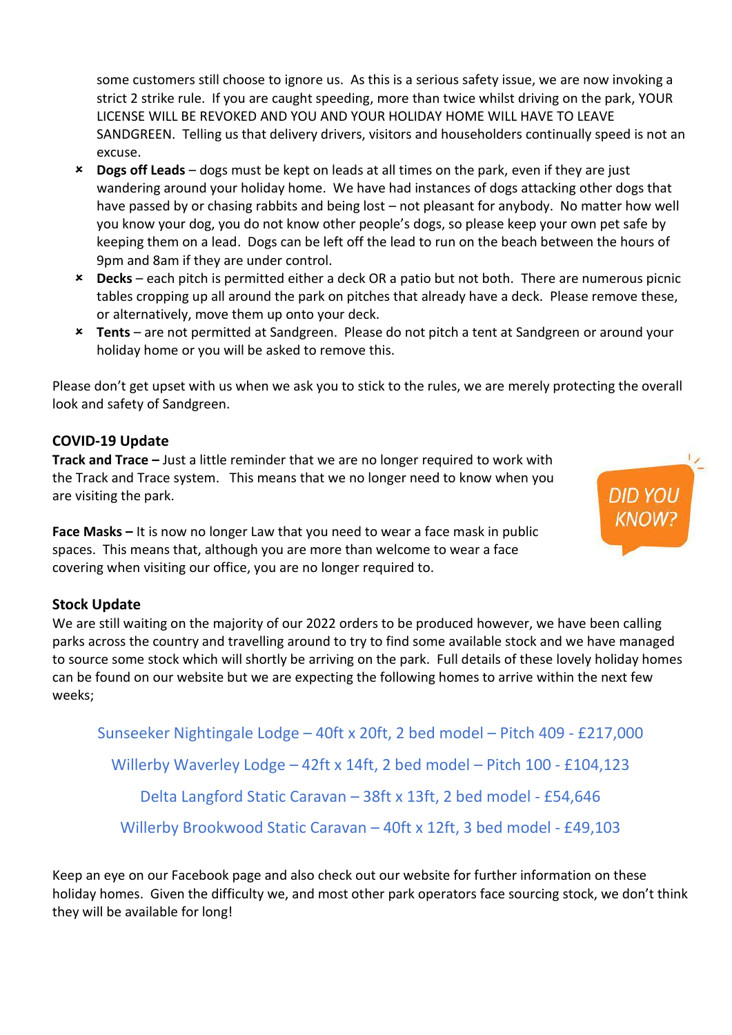some customers still choose to ignore us. As this is a serious safety issue, we are now invoking a strict 2 strike rule. If you are caught speeding, more than twice whilst driving on the park, YOUR LICENSE WILL BE REVOKED AND YOU AND YOUR HOLIDAY HOME WILL HAVE TO LEAVE SANDGREEN. Telling us that delivery drivers, visitors and householders continually speed is not an excuse.

- **Dogs off Leads** dogs must be kept on leads at all times on the park, even if they are just wandering around your holiday home. We have had instances of dogs attacking other dogs that have passed by or chasing rabbits and being lost – not pleasant for anybody. No matter how well you know your dog, you do not know other people's dogs, so please keep your own pet safe by keeping them on a lead. Dogs can be left off the lead to run on the beach between the hours of 9pm and 8am if they are under control.
- **Decks**  each pitch is permitted either a deck OR a patio but not both. There are numerous picnic tables cropping up all around the park on pitches that already have a deck. Please remove these, or alternatively, move them up onto your deck.
- **Tents** are not permitted at Sandgreen. Please do not pitch a tent at Sandgreen or around your holiday home or you will be asked to remove this.

Please don't get upset with us when we ask you to stick to the rules, we are merely protecting the overall look and safety of Sandgreen.

# **COVID-19 Update**

**Track and Trace –** Just a little reminder that we are no longer required to work with the Track and Trace system. This means that we no longer need to know when you are visiting the park.

**DID YOU KNOW?** 

**Face Masks –** It is now no longer Law that you need to wear a face mask in public spaces. This means that, although you are more than welcome to wear a face covering when visiting our office, you are no longer required to.

## **Stock Update**

We are still waiting on the majority of our 2022 orders to be produced however, we have been calling parks across the country and travelling around to try to find some available stock and we have managed to source some stock which will shortly be arriving on the park. Full details of these lovely holiday homes can be found on our website but we are expecting the following homes to arrive within the next few weeks;

Sunseeker Nightingale Lodge – 40ft x 20ft, 2 bed model – Pitch 409 - £217,000 Willerby Waverley Lodge – 42ft x 14ft, 2 bed model – Pitch 100 - £104,123 Delta Langford Static Caravan – 38ft x 13ft, 2 bed model - £54,646 Willerby Brookwood Static Caravan – 40ft x 12ft, 3 bed model - £49,103

Keep an eye on our Facebook page and also check out our website for further information on these holiday homes. Given the difficulty we, and most other park operators face sourcing stock, we don't think they will be available for long!